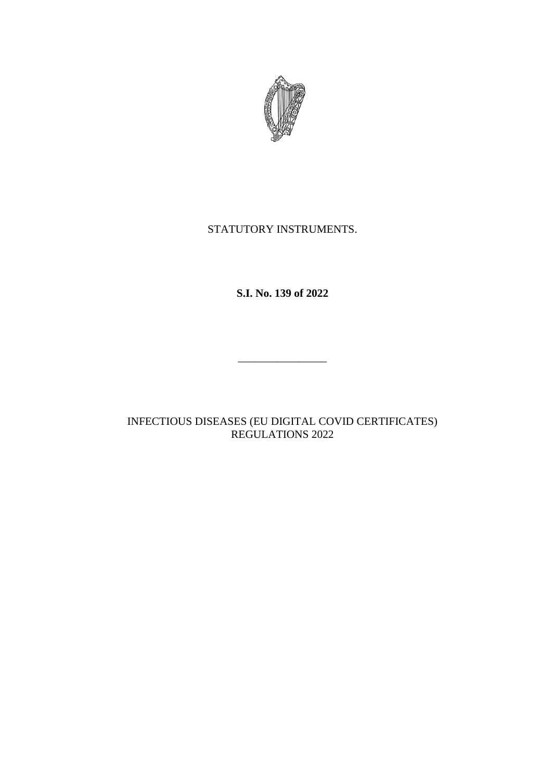

# STATUTORY INSTRUMENTS.

**S.I. No. 139 of 2022**

INFECTIOUS DISEASES (EU DIGITAL COVID CERTIFICATES) REGULATIONS 2022

\_\_\_\_\_\_\_\_\_\_\_\_\_\_\_\_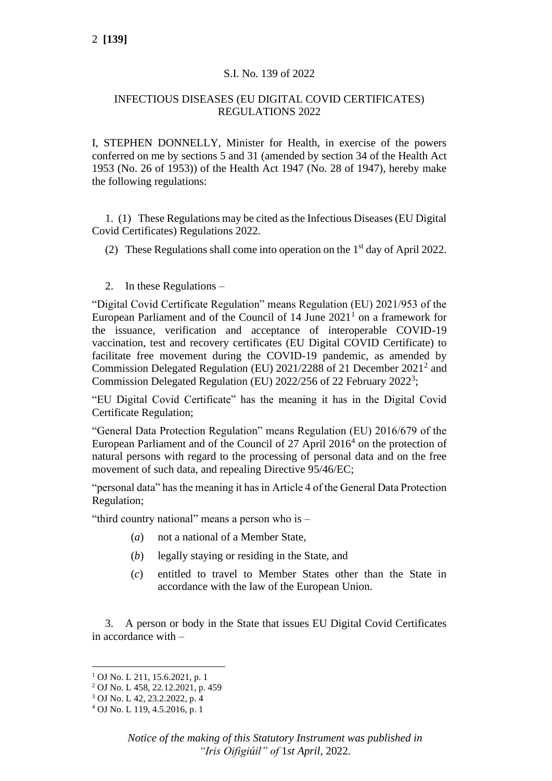#### S.I. No. 139 of 2022

## INFECTIOUS DISEASES (EU DIGITAL COVID CERTIFICATES) REGULATIONS 2022

I, STEPHEN DONNELLY, Minister for Health, in exercise of the powers conferred on me by sections 5 and 31 (amended by section 34 of the Health Act 1953 (No. 26 of 1953)) of the Health Act 1947 (No. 28 of 1947), hereby make the following regulations:

1. (1) These Regulations may be cited as the Infectious Diseases (EU Digital Covid Certificates) Regulations 2022.

- (2) These Regulations shall come into operation on the  $1<sup>st</sup>$  day of April 2022.
- 2. In these Regulations –

"Digital Covid Certificate Regulation" means Regulation (EU) 2021/953 of the European Parliament and of the Council of  $14$  June  $2021<sup>1</sup>$  on a framework for the issuance, verification and acceptance of interoperable COVID-19 vaccination, test and recovery certificates (EU Digital COVID Certificate) to facilitate free movement during the COVID-19 pandemic, as amended by Commission Delegated Regulation (EU) 2021/2288 of 21 December 2021<sup>2</sup> and Commission Delegated Regulation (EU) 2022/256 of 22 February 2022<sup>3</sup>;

"EU Digital Covid Certificate" has the meaning it has in the Digital Covid Certificate Regulation;

"General Data Protection Regulation" means Regulation (EU) 2016/679 of the European Parliament and of the Council of 27 April 2016<sup>4</sup> on the protection of natural persons with regard to the processing of personal data and on the free movement of such data, and repealing Directive 95/46/EC;

"personal data" has the meaning it has in Article 4 of the General Data Protection Regulation;

"third country national" means a person who is –

- (*a*) not a national of a Member State,
- (*b*) legally staying or residing in the State, and
- (*c*) entitled to travel to Member States other than the State in accordance with the law of the European Union.

3. A person or body in the State that issues EU Digital Covid Certificates in accordance with –

<sup>1</sup> OJ No. L 211, 15.6.2021, p. 1

<sup>2</sup> OJ No. L 458, 22.12.2021, p. 459

<sup>3</sup> OJ No. L 42, 23.2.2022, p. 4

<sup>4</sup> OJ No. L 119, 4.5.2016, p. 1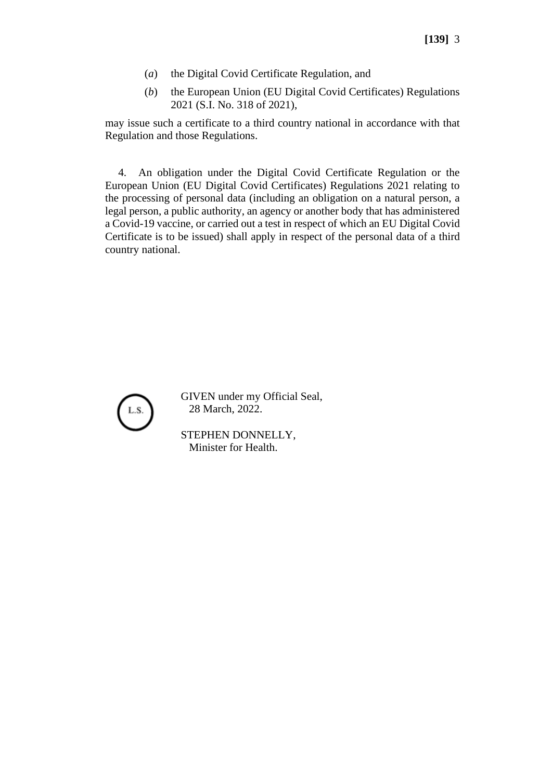- (*a*) the Digital Covid Certificate Regulation, and
- (*b*) the European Union (EU Digital Covid Certificates) Regulations 2021 (S.I. No. 318 of 2021),

may issue such a certificate to a third country national in accordance with that Regulation and those Regulations.

4. An obligation under the Digital Covid Certificate Regulation or the European Union (EU Digital Covid Certificates) Regulations 2021 relating to the processing of personal data (including an obligation on a natural person, a legal person, a public authority, an agency or another body that has administered a Covid-19 vaccine, or carried out a test in respect of which an EU Digital Covid Certificate is to be issued) shall apply in respect of the personal data of a third country national.



GIVEN under my Official Seal, 28 March, 2022.

STEPHEN DONNELLY, Minister for Health.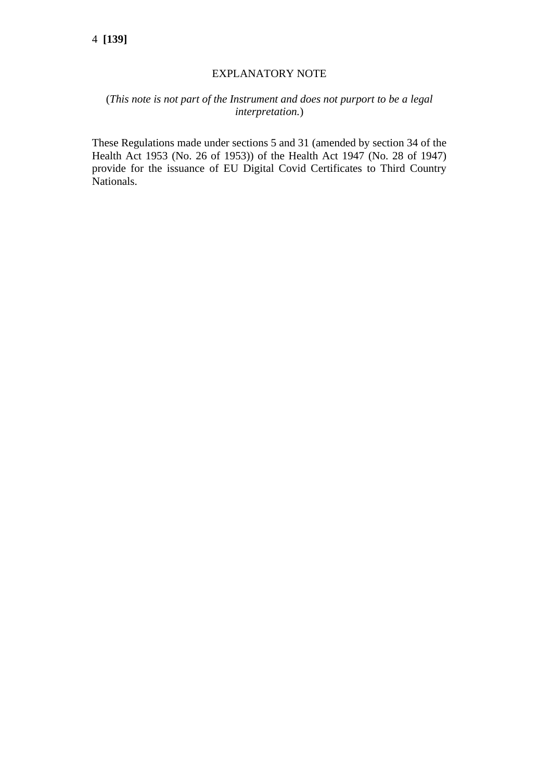#### EXPLANATORY NOTE

## (*This note is not part of the Instrument and does not purport to be a legal interpretation.*)

These Regulations made under sections 5 and 31 (amended by section 34 of the Health Act 1953 (No. 26 of 1953)) of the Health Act 1947 (No. 28 of 1947) provide for the issuance of EU Digital Covid Certificates to Third Country Nationals.